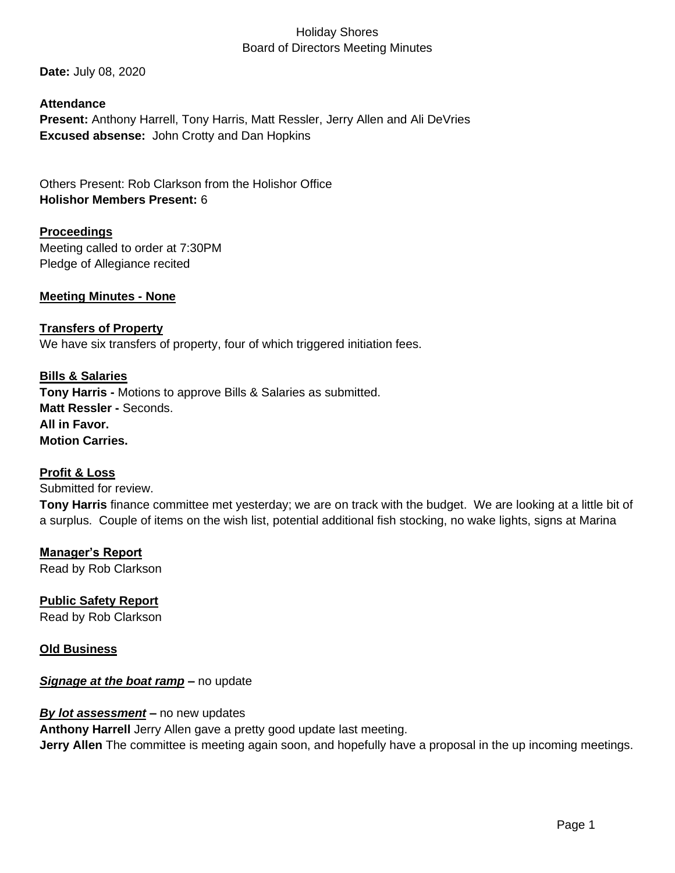# Holiday Shores Board of Directors Meeting Minutes

**Date:** July 08, 2020

### **Attendance**

**Present:** Anthony Harrell, Tony Harris, Matt Ressler, Jerry Allen and Ali DeVries **Excused absense:** John Crotty and Dan Hopkins

Others Present: Rob Clarkson from the Holishor Office **Holishor Members Present:** 6

### **Proceedings**

Meeting called to order at 7:30PM Pledge of Allegiance recited

### **Meeting Minutes - None**

#### **Transfers of Property**

We have six transfers of property, four of which triggered initiation fees.

## **Bills & Salaries**

**Tony Harris -** Motions to approve Bills & Salaries as submitted. **Matt Ressler -** Seconds. **All in Favor. Motion Carries.**

#### **Profit & Loss**

Submitted for review. **Tony Harris** finance committee met yesterday; we are on track with the budget. We are looking at a little bit of a surplus. Couple of items on the wish list, potential additional fish stocking, no wake lights, signs at Marina

**Manager's Report** Read by Rob Clarkson

## **Public Safety Report**  Read by Rob Clarkson

#### **Old Business**

#### *Signage at the boat ramp* **–** no update

#### *By lot assessment* **–** no new updates

**Anthony Harrell** Jerry Allen gave a pretty good update last meeting.

**Jerry Allen** The committee is meeting again soon, and hopefully have a proposal in the up incoming meetings.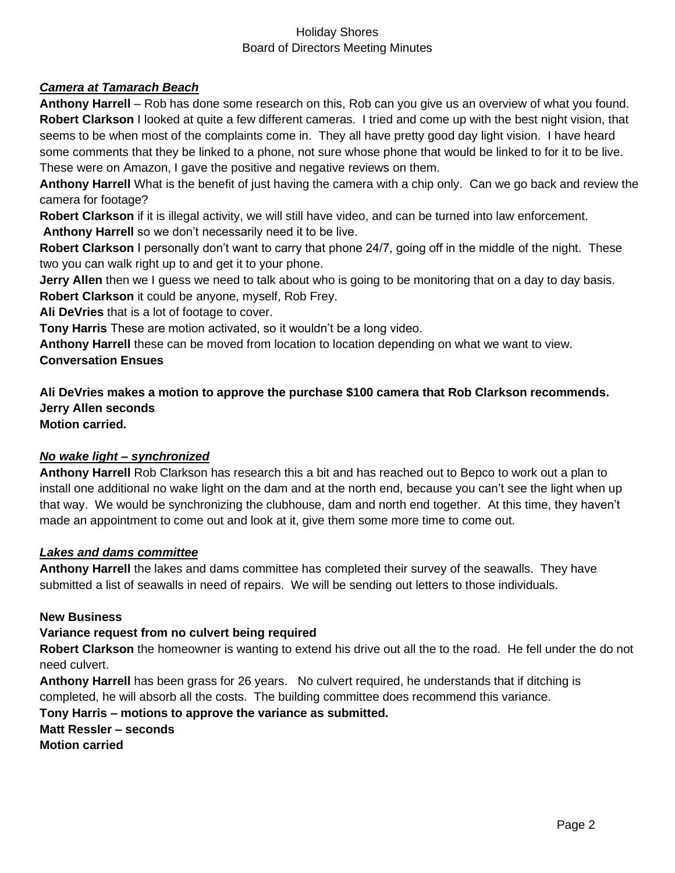## Holiday Shores Board of Directors Meeting Minutes

### *Camera at Tamarach Beach*

**Anthony Harrell** – Rob has done some research on this, Rob can you give us an overview of what you found. **Robert Clarkson** I looked at quite a few different cameras. I tried and come up with the best night vision, that seems to be when most of the complaints come in. They all have pretty good day light vision. I have heard some comments that they be linked to a phone, not sure whose phone that would be linked to for it to be live. These were on Amazon, I gave the positive and negative reviews on them.

**Anthony Harrell** What is the benefit of just having the camera with a chip only. Can we go back and review the camera for footage?

**Robert Clarkson** if it is illegal activity, we will still have video, and can be turned into law enforcement.

**Anthony Harrell** so we don't necessarily need it to be live.

**Robert Clarkson** I personally don't want to carry that phone 24/7, going off in the middle of the night. These two you can walk right up to and get it to your phone.

**Jerry Allen** then we I guess we need to talk about who is going to be monitoring that on a day to day basis. **Robert Clarkson** it could be anyone, myself, Rob Frey.

**Ali DeVries** that is a lot of footage to cover.

**Tony Harris** These are motion activated, so it wouldn't be a long video.

**Anthony Harrell** these can be moved from location to location depending on what we want to view. **Conversation Ensues**

**Ali DeVries makes a motion to approve the purchase \$100 camera that Rob Clarkson recommends. Jerry Allen seconds Motion carried.**

## *No wake light – synchronized*

**Anthony Harrell** Rob Clarkson has research this a bit and has reached out to Bepco to work out a plan to install one additional no wake light on the dam and at the north end, because you can't see the light when up that way. We would be synchronizing the clubhouse, dam and north end together. At this time, they haven't made an appointment to come out and look at it, give them some more time to come out.

#### *Lakes and dams committee*

**Anthony Harrell** the lakes and dams committee has completed their survey of the seawalls. They have submitted a list of seawalls in need of repairs. We will be sending out letters to those individuals.

#### **New Business**

#### **Variance request from no culvert being required**

**Robert Clarkson** the homeowner is wanting to extend his drive out all the to the road. He fell under the do not need culvert.

**Anthony Harrell** has been grass for 26 years. No culvert required, he understands that if ditching is completed, he will absorb all the costs. The building committee does recommend this variance.

**Tony Harris – motions to approve the variance as submitted. Matt Ressler – seconds Motion carried**